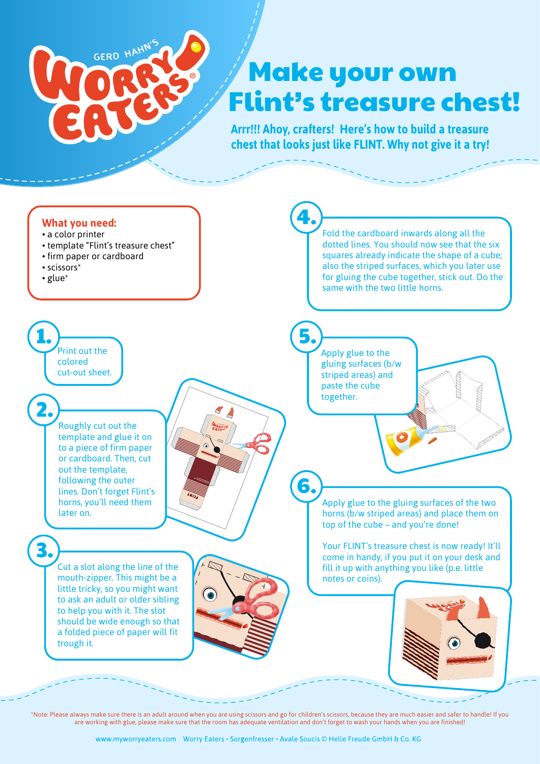

## Make your own Flint's treasure chest!

**Arrr!!! Ahoy, crafters! Here's how to build a treasure chest that looks just like FLINT. Why not give it a try!** 



\*Note: Please always make sure there is an adult around when you are using scissors and go for children's scissors, because they are much easier and safer to handle! If you are working with glue, please make sure that the room has adequate ventilation and don't forget to wash your hands when you are finished!